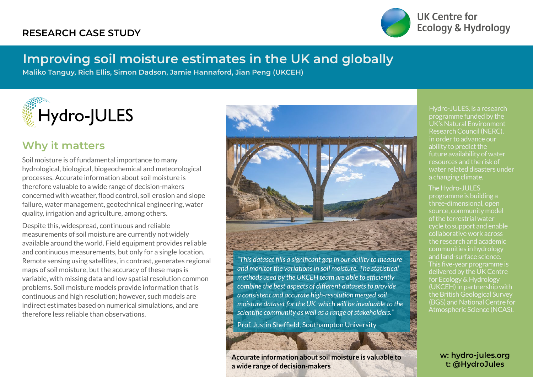### **RESEARCH CASE STUDY**



**UK Centre for Ecology & Hydrology** 

# **Improving soil moisture estimates in the UK and globally**

**Maliko Tanguy, Rich Ellis, Simon Dadson, Jamie Hannaford, Jian Peng (UKCEH)**



### **Why it matters**

Soil moisture is of fundamental importance to many hydrological, biological, biogeochemical and meteorological processes. Accurate information about soil moisture is therefore valuable to a wide range of decision-makers concerned with weather, flood control, soil erosion and slope failure, water management, geotechnical engineering, water quality, irrigation and agriculture, among others.

Despite this, widespread, continuous and reliable measurements of soil moisture are currently not widely available around the world. Field equipment provides reliable and continuous measurements, but only for a single location. Remote sensing using satellites, in contrast, generates regional maps of soil moisture, but the accuracy of these maps is variable, with missing data and low spatial resolution common problems. Soil moisture models provide information that is continuous and high resolution; however, such models are indirect estimates based on numerical simulations, and are therefore less reliable than observations.



*"This dataset fills a significant gap in our ability to measure and monitor the variations in soil moisture. The statistical methods used by the UKCEH team are able to efficiently combine the best aspects of different datasets to provide a consistent and accurate high-resolution merged soil moisture dataset for the UK, which will be invaluable to the scientific community as well as a range of stakeholders."*

Prof. Justin Sheffield, Southampton University

**Accurate information about soil moisture is valuable to a wide range of decision-makers**

Hydro-JULES, is a research programme funded by the UK's Natural Environment Research Council (NERC), in order to advance our ability to predict the future availability of water resources and the risk of water related disasters under a changing climate.

#### The Hydro-JULES

**HILL AND SEARCH** 

programme is building a three-dimensional, open source, community model of the terrestrial water cycle to support and enable collaborative work across the research and academic communities in hydrology and land-surface science. This five-year programme is delivered by the UK Centre for Ecology & Hydrology (UKCEH) in partnership with the British Geological Survey (BGS) and National Centre for Atmospheric Science (NCAS).

> **w: hydro-jules.org t: @HydroJules**